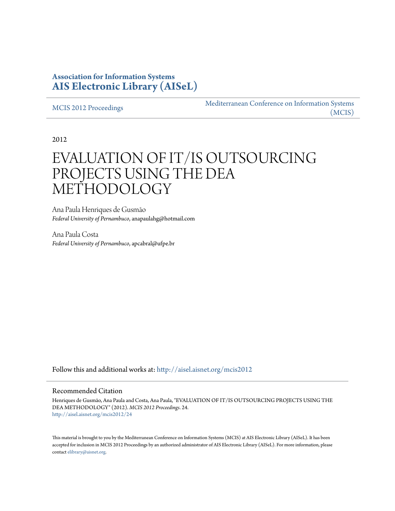## **Association for Information Systems [AIS Electronic Library \(AISeL\)](http://aisel.aisnet.org?utm_source=aisel.aisnet.org%2Fmcis2012%2F24&utm_medium=PDF&utm_campaign=PDFCoverPages)**

[MCIS 2012 Proceedings](http://aisel.aisnet.org/mcis2012?utm_source=aisel.aisnet.org%2Fmcis2012%2F24&utm_medium=PDF&utm_campaign=PDFCoverPages)

[Mediterranean Conference on Information Systems](http://aisel.aisnet.org/mcis?utm_source=aisel.aisnet.org%2Fmcis2012%2F24&utm_medium=PDF&utm_campaign=PDFCoverPages) [\(MCIS\)](http://aisel.aisnet.org/mcis?utm_source=aisel.aisnet.org%2Fmcis2012%2F24&utm_medium=PDF&utm_campaign=PDFCoverPages)

2012

# EVALUATION OF IT/IS OUTSOURCING PROJECTS USING THE DEA METHODOLOGY

Ana Paula Henriques de Gusmão *Federal University of Pernambuco*, anapaulahg@hotmail.com

Ana Paula Costa *Federal University of Pernambuco*, apcabral@ufpe.br

Follow this and additional works at: [http://aisel.aisnet.org/mcis2012](http://aisel.aisnet.org/mcis2012?utm_source=aisel.aisnet.org%2Fmcis2012%2F24&utm_medium=PDF&utm_campaign=PDFCoverPages)

#### Recommended Citation

Henriques de Gusmão, Ana Paula and Costa, Ana Paula, "EVALUATION OF IT/IS OUTSOURCING PROJECTS USING THE DEA METHODOLOGY" (2012). *MCIS 2012 Proceedings*. 24. [http://aisel.aisnet.org/mcis2012/24](http://aisel.aisnet.org/mcis2012/24?utm_source=aisel.aisnet.org%2Fmcis2012%2F24&utm_medium=PDF&utm_campaign=PDFCoverPages)

This material is brought to you by the Mediterranean Conference on Information Systems (MCIS) at AIS Electronic Library (AISeL). It has been accepted for inclusion in MCIS 2012 Proceedings by an authorized administrator of AIS Electronic Library (AISeL). For more information, please contact [elibrary@aisnet.org.](mailto:elibrary@aisnet.org%3E)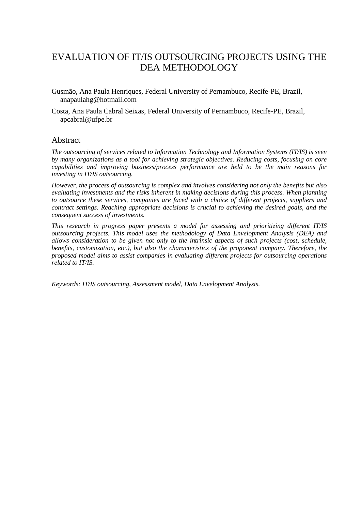# EVALUATION OF IT/IS OUTSOURCING PROJECTS USING THE DEA METHODOLOGY

- Gusmão, Ana Paula Henriques, Federal University of Pernambuco, Recife-PE, Brazil, anapaulahg@hotmail.com
- Costa, Ana Paula Cabral Seixas, Federal University of Pernambuco, Recife-PE, Brazil, apcabral@ufpe.br

#### Abstract

*The outsourcing of services related to Information Technology and Information Systems (IT/IS) is seen by many organizations as a tool for achieving strategic objectives. Reducing costs, focusing on core capabilities and improving business/process performance are held to be the main reasons for investing in IT/IS outsourcing.* 

*However, the process of outsourcing is complex and involves considering not only the benefits but also evaluating investments and the risks inherent in making decisions during this process. When planning to outsource these services, companies are faced with a choice of different projects, suppliers and contract settings. Reaching appropriate decisions is crucial to achieving the desired goals, and the consequent success of investments.* 

*This research in progress paper presents a model for assessing and prioritizing different IT/IS outsourcing projects. This model uses the methodology of Data Envelopment Analysis (DEA) and allows consideration to be given not only to the intrinsic aspects of such projects (cost, schedule, benefits, customization, etc.), but also the characteristics of the proponent company. Therefore, the proposed model aims to assist companies in evaluating different projects for outsourcing operations related to IT/IS.* 

*Keywords: IT/IS outsourcing, Assessment model, Data Envelopment Analysis.*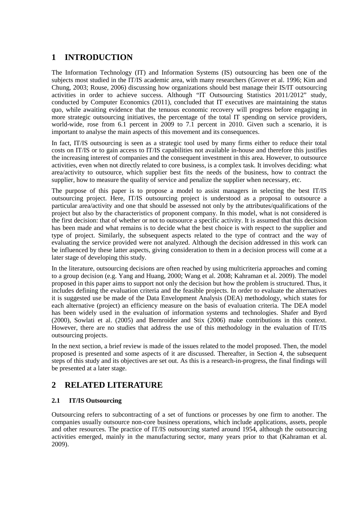## **1 INTRODUCTION**

The Information Technology (IT) and Information Systems (IS) outsourcing has been one of the subjects most studied in the IT/IS academic area, with many researchers (Grover et al. 1996; Kim and Chung, 2003; Rouse, 2006) discussing how organizations should best manage their IS/IT outsourcing activities in order to achieve success. Although "IT Outsourcing Statistics 2011/2012" study, conducted by Computer Economics (2011), concluded that IT executives are maintaining the status quo, while awaiting evidence that the tenuous economic recovery will progress before engaging in more strategic outsourcing initiatives, the percentage of the total IT spending on service providers, world-wide, rose from 6.1 percent in 2009 to 7.1 percent in 2010. Given such a scenario, it is important to analyse the main aspects of this movement and its consequences.

In fact, IT/IS outsourcing is seen as a strategic tool used by many firms either to reduce their total costs on IT/IS or to gain access to IT/IS capabilities not available in-house and therefore this justifies the increasing interest of companies and the consequent investment in this area. However, to outsource activities, even when not directly related to core business, is a complex task. It involves deciding: what area/activity to outsource, which supplier best fits the needs of the business, how to contract the supplier, how to measure the quality of service and penalize the supplier when necessary, etc.

The purpose of this paper is to propose a model to assist managers in selecting the best IT/IS outsourcing project. Here, IT/IS outsourcing project is understood as a proposal to outsource a particular area/activity and one that should be assessed not only by the attributes/qualifications of the project but also by the characteristics of proponent company. In this model, what is not considered is the first decision: that of whether or not to outsource a specific activity. It is assumed that this decision has been made and what remains is to decide what the best choice is with respect to the supplier and type of project. Similarly, the subsequent aspects related to the type of contract and the way of evaluating the service provided were not analyzed. Although the decision addressed in this work can be influenced by these latter aspects, giving consideration to them in a decision process will come at a later stage of developing this study.

In the literature, outsourcing decisions are often reached by using multicriteria approaches and coming to a group decision (e.g. Yang and Huang, 2000; Wang et al. 2008; Kahraman et al. 2009). The model proposed in this paper aims to support not only the decision but how the problem is structured. Thus, it includes defining the evaluation criteria and the feasible projects. In order to evaluate the alternatives it is suggested use be made of the Data Envelopment Analysis (DEA) methodology, which states for each alternative (project) an efficiency measure on the basis of evaluation criteria. The DEA model has been widely used in the evaluation of information systems and technologies. Shafer and Byrd (2000), Sowlati et al. (2005) and Bernroider and Stix (2006) make contributions in this context. However, there are no studies that address the use of this methodology in the evaluation of IT/IS outsourcing projects.

In the next section, a brief review is made of the issues related to the model proposed. Then, the model proposed is presented and some aspects of it are discussed. Thereafter, in Section 4, the subsequent steps of this study and its objectives are set out. As this is a research-in-progress, the final findings will be presented at a later stage.

## **2 RELATED LITERATURE**

#### **2.1 IT/IS Outsourcing**

Outsourcing refers to subcontracting of a set of functions or processes by one firm to another. The companies usually outsource non-core business operations, which include applications, assets, people and other resources. The practice of IT/IS outsourcing started around 1954, although the outsourcing activities emerged, mainly in the manufacturing sector, many years prior to that (Kahraman et al. 2009).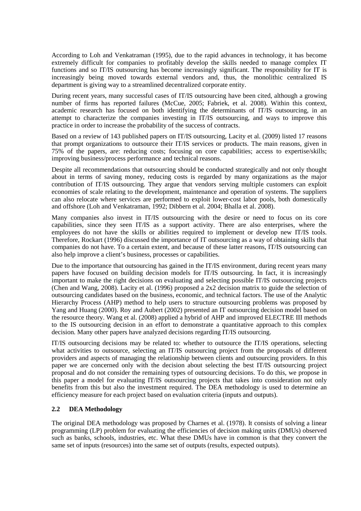According to Loh and Venkatraman (1995), due to the rapid advances in technology, it has become extremely difficult for companies to profitably develop the skills needed to manage complex IT functions and so IT/IS outsourcing has become increasingly significant. The responsibility for IT is increasingly being moved towards external vendors and, thus, the monolithic centralized IS department is giving way to a streamlined decentralized corporate entity.

During recent years, many successful cases of IT/IS outsourcing have been cited, although a growing number of firms has reported failures (McCue, 2005; Fabriek, et al. 2008). Within this context, academic research has focused on both identifying the determinants of IT/IS outsourcing, in an attempt to characterize the companies investing in IT/IS outsourcing, and ways to improve this practice in order to increase the probability of the success of contracts.

Based on a review of 143 published papers on IT/IS outsourcing, Lacity et al. (2009) listed 17 reasons that prompt organizations to outsource their IT/IS services or products. The main reasons, given in 75% of the papers, are: reducing costs; focusing on core capabilities; access to expertise/skills; improving business/process performance and technical reasons.

Despite all recommendations that outsourcing should be conducted strategically and not only thought about in terms of saving money, reducing costs is regarded by many organizations as the major contribution of IT/IS outsourcing. They argue that vendors serving multiple customers can exploit economies of scale relating to the development, maintenance and operation of systems. The suppliers can also relocate where services are performed to exploit lower-cost labor pools, both domestically and offshore (Loh and Venkatraman, 1992; Dibbern et al. 2004; Bhalla et al. 2008).

Many companies also invest in IT/IS outsourcing with the desire or need to focus on its core capabilities, since they seen IT/IS as a support activity. There are also enterprises, where the employees do not have the skills or abilities required to implement or develop new IT/IS tools. Therefore, Rockart (1996) discussed the importance of IT outsourcing as a way of obtaining skills that companies do not have. To a certain extent, and because of these latter reasons, IT/IS outsourcing can also help improve a client's business, processes or capabilities.

Due to the importance that outsourcing has gained in the IT/IS environment, during recent years many papers have focused on building decision models for IT/IS outsourcing. In fact, it is increasingly important to make the right decisions on evaluating and selecting possible IT/IS outsourcing projects (Chen and Wang, 2008). Lacity et al. (1996) proposed a 2x2 decision matrix to guide the selection of outsourcing candidates based on the business, economic, and technical factors. The use of the Analytic Hierarchy Process (AHP) method to help users to structure outsourcing problems was proposed by Yang and Huang (2000). Roy and Aubert (2002) presented an IT outsourcing decision model based on the resource theory. Wang et al. (2008) applied a hybrid of AHP and improved ELECTRE III methods to the IS outsourcing decision in an effort to demonstrate a quantitative approach to this complex decision. Many other papers have analyzed decisions regarding IT/IS outsourcing.

IT/IS outsourcing decisions may be related to: whether to outsource the IT/IS operations, selecting what activities to outsource, selecting an IT/IS outsourcing project from the proposals of different providers and aspects of managing the relationship between clients and outsourcing providers. In this paper we are concerned only with the decision about selecting the best IT/IS outsourcing project proposal and do not consider the remaining types of outsourcing decisions. To do this, we propose in this paper a model for evaluating IT/IS outsourcing projects that takes into consideration not only benefits from this but also the investment required. The DEA methodology is used to determine an efficiency measure for each project based on evaluation criteria (inputs and outputs).

#### **2.2 DEA Methodology**

The original DEA methodology was proposed by Charnes et al. (1978). It consists of solving a linear programming (LP) problem for evaluating the efficiencies of decision making units (DMUs) observed such as banks, schools, industries, etc. What these DMUs have in common is that they convert the same set of inputs (resources) into the same set of outputs (results, expected outputs).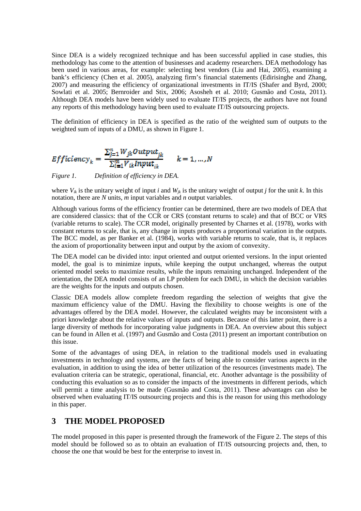Since DEA is a widely recognized technique and has been successful applied in case studies, this methodology has come to the attention of businesses and academy researchers. DEA methodology has been used in various areas, for example: selecting best vendors (Liu and Hai, 2005), examining a bank's efficiency (Chen et al. 2005), analyzing firm's financial statements (Edirisinghe and Zhang, 2007) and measuring the efficiency of organizational investments in IT/IS (Shafer and Byrd, 2000; Sowlati et al. 2005; Bernroider and Stix, 2006; Asosheh et al. 2010; Gusmão and Costa, 2011). Although DEA models have been widely used to evaluate IT/IS projects, the authors have not found any reports of this methodology having been used to evaluate IT/IS outsourcing projects.

The definition of efficiency in DEA is specified as the ratio of the weighted sum of outputs to the weighted sum of inputs of a DMU, as shown in Figure 1.

$$
Efficiency_k = \frac{\sum_{j=1}^{n} W_{jk} Output_{jk}}{\sum_{i=1}^{m} V_{ik} Input_{ik}} \qquad k = 1, ..., N
$$

*Figure 1. Definition of efficiency in DEA.* 

where  $V_{ik}$  is the unitary weight of input *i* and  $W_{ik}$  is the unitary weight of output *j* for the unit *k*. In this notation, there are *N* units, *m* input variables and *n* output variables.

Although various forms of the efficiency frontier can be determined, there are two models of DEA that are considered classics: that of the CCR or CRS (constant returns to scale) and that of BCC or VRS (variable returns to scale). The CCR model, originally presented by Charnes et al. (1978), works with constant returns to scale, that is, any change in inputs produces a proportional variation in the outputs. The BCC model, as per Banker et al. (1984), works with variable returns to scale, that is, it replaces the axiom of proportionality between input and output by the axiom of convexity.

The DEA model can be divided into: input oriented and output oriented versions. In the input oriented model, the goal is to minimize inputs, while keeping the output unchanged, whereas the output oriented model seeks to maximize results, while the inputs remaining unchanged. Independent of the orientation, the DEA model consists of an LP problem for each DMU, in which the decision variables are the weights for the inputs and outputs chosen.

Classic DEA models allow complete freedom regarding the selection of weights that give the maximum efficiency value of the DMU. Having the flexibility to choose weights is one of the advantages offered by the DEA model. However, the calculated weights may be inconsistent with a priori knowledge about the relative values of inputs and outputs. Because of this latter point, there is a large diversity of methods for incorporating value judgments in DEA. An overview about this subject can be found in Allen et al. (1997) and Gusmão and Costa (2011) present an important contribution on this issue.

Some of the advantages of using DEA, in relation to the traditional models used in evaluating investments in technology and systems, are the facts of being able to consider various aspects in the evaluation, in addition to using the idea of better utilization of the resources (investments made). The evaluation criteria can be strategic, operational, financial, etc. Another advantage is the possibility of conducting this evaluation so as to consider the impacts of the investments in different periods, which will permit a time analysis to be made (Gusmão and Costa, 2011). These advantages can also be observed when evaluating IT/IS outsourcing projects and this is the reason for using this methodology in this paper.

## **3 THE MODEL PROPOSED**

The model proposed in this paper is presented through the framework of the Figure 2. The steps of this model should be followed so as to obtain an evaluation of IT/IS outsourcing projects and, then, to choose the one that would be best for the enterprise to invest in.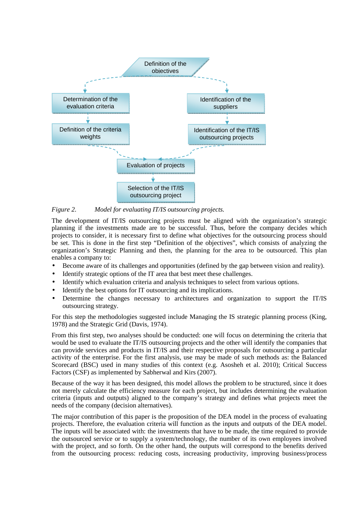

*Figure 2. Model for evaluating IT/IS outsourcing projects.* 

The development of IT/IS outsourcing projects must be aligned with the organization's strategic planning if the investments made are to be successful. Thus, before the company decides which projects to consider, it is necessary first to define what objectives for the outsourcing process should be set. This is done in the first step "Definition of the objectives", which consists of analyzing the organization's Strategic Planning and then, the planning for the area to be outsourced. This plan enables a company to:

- Become aware of its challenges and opportunities (defined by the gap between vision and reality).
- Identify strategic options of the IT area that best meet these challenges.
- Identify which evaluation criteria and analysis techniques to select from various options.
- Identify the best options for IT outsourcing and its implications.
- Determine the changes necessary to architectures and organization to support the IT/IS outsourcing strategy.

For this step the methodologies suggested include Managing the IS strategic planning process (King, 1978) and the Strategic Grid (Davis, 1974).

From this first step, two analyses should be conducted: one will focus on determining the criteria that would be used to evaluate the IT/IS outsourcing projects and the other will identify the companies that can provide services and products in IT/IS and their respective proposals for outsourcing a particular activity of the enterprise. For the first analysis, use may be made of such methods as: the Balanced Scorecard (BSC) used in many studies of this context (e.g. Asosheh et al. 2010); Critical Success Factors (CSF) as implemented by Sabherwal and Kirs (2007).

Because of the way it has been designed, this model allows the problem to be structured, since it does not merely calculate the efficiency measure for each project, but includes determining the evaluation criteria (inputs and outputs) aligned to the company's strategy and defines what projects meet the needs of the company (decision alternatives).

The major contribution of this paper is the proposition of the DEA model in the process of evaluating projects. Therefore, the evaluation criteria will function as the inputs and outputs of the DEA model. The inputs will be associated with: the investments that have to be made, the time required to provide the outsourced service or to supply a system/technology, the number of its own employees involved with the project, and so forth. On the other hand, the outputs will correspond to the benefits derived from the outsourcing process: reducing costs, increasing productivity, improving business/process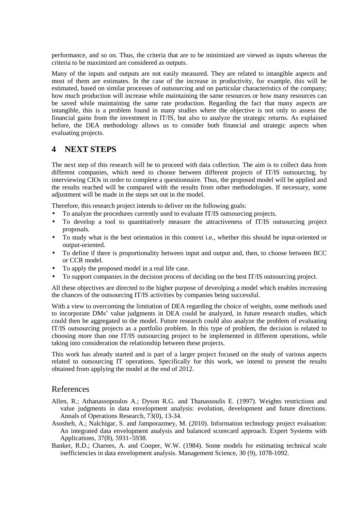performance, and so on. Thus, the criteria that are to be minimized are viewed as inputs whereas the criteria to be maximized are considered as outputs.

Many of the inputs and outputs are not easily measured. They are related to intangible aspects and most of them are estimates. In the case of the increase in productivity, for example, this will be estimated, based on similar processes of outsourcing and on particular characteristics of the company; how much production will increase while maintaining the same resources or how many resources can be saved while maintaining the same rate production. Regarding the fact that many aspects are intangible, this is a problem found in many studies where the objective is not only to assess the financial gains from the investment in IT/IS, but also to analyze the strategic returns. As explained before, the DEA methodology allows us to consider both financial and strategic aspects when evaluating projects.

## **4 NEXT STEPS**

The next step of this research will be to proceed with data collection. The aim is to collect data from different companies, which need to choose between different projects of IT/IS outsourcing, by interviewing CIOs in order to complete a questionnaire. Thus, the proposed model will be applied and the results reached will be compared with the results from other methodologies. If necessary, some adjustment will be made in the steps set out in the model.

Therefore, this research project intends to deliver on the following goals:

- To analyze the procedures currently used to evaluate IT/IS outsourcing projects.
- To develop a tool to quantitatively measure the attractiveness of IT/IS outsourcing project proposals.
- To study what is the best orientation in this context i.e., whether this should be input-oriented or output-oriented.
- To define if there is proportionality between input and output and, then, to choose between BCC or CCR model.
- To apply the proposed model in a real life case.
- To support companies in the decision process of deciding on the best IT/IS outsourcing project.

All these objectives are directed to the higher purpose of deveolping a model which enables increasing the chances of the outsourcing IT/IS activities by companies being successful.

With a view to overcoming the limitation of DEA regarding the choice of weights, some methods used to incorporate DMs' value judgments in DEA could be analyzed, in future research studies, which could then be aggregated to the model. Future research could also analyze the problem of evaluating IT/IS outsourcing projects as a portfolio problem. In this type of problem, the decision is related to choosing more than one IT/IS outsourcing project to be implemented in different operations, while taking into consideration the relationship between these projects.

This work has already started and is part of a larger project focused on the study of various aspects related to outsourcing IT operations. Specifically for this work, we intend to present the results obtained from applying the model at the end of 2012.

### References

- Allen, R.; Athanassopoulos A.; Dyson R.G. and Thanassoulis E. (1997). Weights restrictions and value judgments in data envelopment analysis: evolution, development and future directions. Annals of Operations Research, 73(0), 13-34.
- Asosheh, A.; Nalchigar, S. and Jamporazmey, M. (2010). Information technology project evaluation: An integrated data envelopment analysis and balanced scorecard approach. Expert Systems with Applications, 37(8), 5931–5938.
- Banker, R.D.; Charnes, A. and Cooper, W.W. (1984). Some models for estimating technical scale inefficiencies in data envelopment analysis. Management Science, 30 (9), 1078-1092.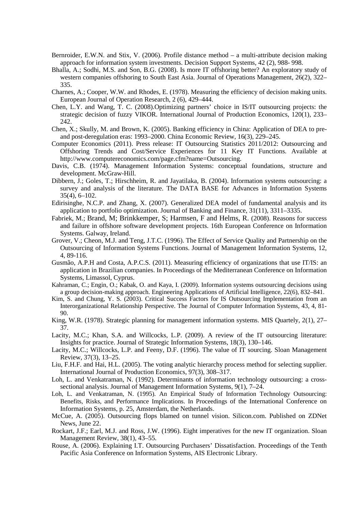- Bernroider, E.W.N. and Stix, V. (2006). Profile distance method a multi-attribute decision making approach for information system investments. Decision Support Systems, 42 (2), 988- 998.
- Bhalla, A.; Sodhi, M.S. and Son, B.G. (2008). Is more IT offshoring better? An exploratory study of western companies offshoring to South East Asia. Journal of Operations Management, 26(2), 322– 335.
- Charnes, A.; Cooper, W.W. and Rhodes, E. (1978). Measuring the efficiency of decision making units. European Journal of Operation Research, 2 (6), 429–444.
- Chen, L.Y. and Wang, T. C. (2008).Optimizing partners' choice in IS/IT outsourcing projects: the strategic decision of fuzzy VIKOR. International Journal of Production Economics, 120(1), 233– 242.
- Chen, X.; Skully, M. and Brown, K. (2005). Banking efficiency in China: Application of DEA to preand post-deregulation eras: 1993–2000. China Economic Review, 16(3), 229–245.
- Computer Economics (2011). Press release: IT Outsourcing Statistics 2011/2012: Outsourcing and Offshoring Trends and Cost/Service Experiences for 11 Key IT Functions. Available at http://www.computereconomics.com/page.cfm?name=Outsourcing.
- Davis, C.B. (1974). Management Information Systems: conceptual foundations, structure and development. McGraw-Hill.
- Dibbern, J.; Goles, T.; Hirschheim, R. and Jayatilaka, B. (2004). Information systems outsourcing: a survey and analysis of the literature. The DATA BASE for Advances in Information Systems 35(4), 6–102.
- Edirisinghe, N.C.P. and Zhang, X. (2007). Generalized DEA model of fundamental analysis and its application to portfolio optimization. Journal of Banking and Finance, 31(11), 3311–3335.
- Fabriek, M.; Brand, M; Brinkkemper, S; Harmsen, F and Helms, R. (2008). Reasons for success and failure in offshore software development projects. 16th European Conference on Information Systems. Galway, Ireland.
- Grover, V.; Cheon, M.J. and Teng, J.T.C. (1996). The Effect of Service Quality and Partnership on the Outsourcing of Information Systems Functions. Journal of Management Information Systems, 12, 4, 89-116.
- Gusmão, A.P.H and Costa, A.P.C.S. (2011). Measuring efficiency of organizations that use IT/IS: an application in Brazilian companies. In Proceedings of the Mediterranean Conference on Information Systems, Limassol, Cyprus.
- Kahraman, C.; Engin, O.; Kabak, O. and Kaya, I. (2009). Information systems outsourcing decisions using a group decision-making approach. Engineering Applications of Artificial Intelligence, 22(6), 832–841.
- Kim, S. and Chung, Y. S. (2003). Critical Success Factors for IS Outsourcing Implementation from an Interorganizational Relationship Perspective. The Journal of Computer Information Systems, 43, 4, 81- 90.
- King, W.R. (1978). Strategic planning for management information systems. MIS Quartely, 2(1), 27– 37.
- Lacity, M.C.; Khan, S.A. and Willcocks, L.P. (2009). A review of the IT outsourcing literature: Insights for practice. Journal of Strategic Information Systems, 18(3), 130–146.
- Lacity, M.C.; Willcocks, L.P. and Feeny, D.F. (1996). The value of IT sourcing. Sloan Management Review, 37(3), 13–25.
- Liu, F.H.F. and Hai, H.L. (2005). The voting analytic hierarchy process method for selecting supplier. International Journal of Production Economics, 97(3), 308–317.
- Loh, L. and Venkatraman, N. (1992). Determinants of information technology outsourcing: a crosssectional analysis. Journal of Management Information Systems, 9(1), 7–24.
- Loh, L. and Venkatraman, N. (1995). An Empirical Study of Information Technology Outsourcing: Benefits, Risks, and Performance Implications. In Proceedings of the International Conference on Information Systems, p. 25, Amsterdam, the Netherlands.
- McCue, A. (2005). Outsourcing flops blamed on tunnel vision. Silicon.com. Published on ZDNet News, June 22.
- Rockart, J.F.; Earl, M.J. and Ross, J.W. (1996). Eight imperatives for the new IT organization. Sloan Management Review, 38(1), 43–55.
- Rouse, A. (2006). Explaining I.T. Outsourcing Purchasers' Dissatisfaction. Proceedings of the Tenth Pacific Asia Conference on Information Systems, AIS Electronic Library.